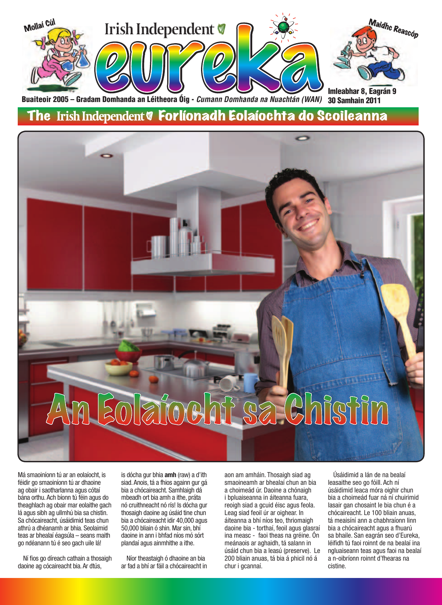

30 Samhain 2011 Buaiteoir 2005 – Gradam Domhanda an Léitheora Óig - *Cumann Domhanda na Nuachtán (WAN)* 

### The Irish Independent V Forlíonadh Eolaíochta do Scoileanna



Má smaoiníonn tú ar an eolaíocht, is féidir go smaoiníonn tú ar dhaoine ag obair i saotharlanna agus cótaí bána orthu. Ach bíonn tú féin agus do theaghlach ag obair mar eolaithe gach lá agus sibh ag ullmhú bia sa chistin. Sa chócaireacht, úsáidimid teas chun athrú a dhéanamh ar bhia. Seolaimid teas ar bhealaí éagsúla – seans maith go ndéanann tú é seo gach uile lá!

Ní fios go díreach cathain a thosaigh daoine ag cócaireacht bia. Ar dtús,

is dócha gur bhia **amh** (raw) a d'ith siad. Anois, tá a fhios againn gur gá bia a chócaireacht. Samhlaigh dá mbeadh ort bia amh a ithe, práta nó cruithneacht nó rís! Is dócha gur thosaigh daoine ag úsáid tine chun bia a chócaireacht idir 40,000 agus 50,000 bliain ó shin. Mar sin, bhí daoine in ann i bhfad níos mó sórt plandaí agus ainmhithe a ithe.

Níor theastaigh ó dhaoine an bia ar fad a bhí ar fáil a chócaireacht in

aon am amháin. Thosaigh siad ag smaoineamh ar bhealaí chun an bia a choimeád úr. Daoine a chónaigh i bpluaiseanna in áiteanna fuara, reoigh siad a gcuid éisc agus feola. Leag siad feoil úr ar oighear. In áiteanna a bhí níos teo, thriomaigh daoine bia - torthaí, feoil agus glasraí ina measc - faoi theas na gréine. Ón meánaois ar aghaidh, tá salann in úsáid chun bia a leasú (preserve). Le 200 bliain anuas, tá bia á phicil nó á chur i gcannaí.

Úsáidimid a lán de na bealaí leasaithe seo go fóill. Ach ní úsáidimid leaca móra oighir chun bia a choimeád fuar ná ní chuirimid lasair gan chosaint le bia chun é a chócaireacht. Le 100 bliain anuas, tá meaisíní ann a chabhraíonn linn bia a chócaireacht agus a fhuarú sa bhaile. San eagrán seo d'Eureka, léifidh tú faoi roinnt de na bealaí ina ngluaiseann teas agus faoi na bealaí a n-oibríonn roinnt d'fhearas na cistine.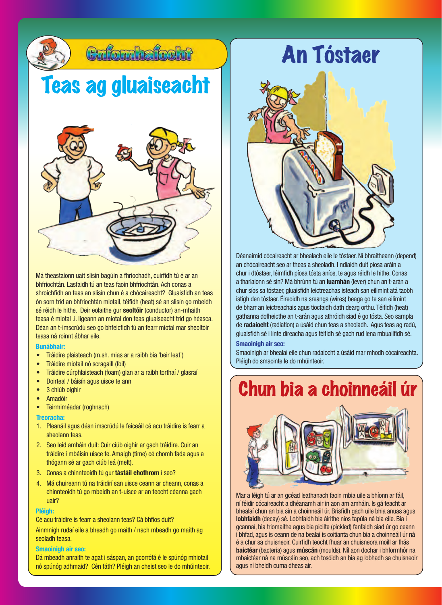

Má theastaíonn uait slisín bagúin a fhriochadh, cuirfidh tú é ar an bhfriochtán. Lasfaidh tú an teas faoin bhfriochtán. Ach conas a shroichfidh an teas an slisín chun é a chócaireacht? Gluaisfidh an teas ón sorn tríd an bhfriochtán miotail, téifidh (heat) sé an slisín go mbeidh sé réidh le hithe. Deir eolaithe gur **seoltóir** (conductor) an-mhaith teasa é miotal .i. ligeann an miotal don teas gluaiseacht tríd go héasca. Déan an t-imscrúdú seo go bhfeicfidh tú an fearr miotal mar sheoltóir teasa ná roinnt ábhar eile.

#### **Bunábhair:**

- Tráidire plaisteach (m.sh. mias ar a raibh bia 'beir leat')
- Tráidire miotail nó scragaill (foil)
- Tráidire cúrphlaisteach (foam) glan ar a raibh torthaí / glasraí
- Doirteal / báisín agus uisce te ann
- 3 chiúb oighir
- Amadóir
- Teirmiméadar (roghnach)

#### **Treoracha:**

- 1. Pleanáil agus déan imscrúdú le feiceáil cé acu tráidire is fearr a sheolann teas.
- 2. Seo leid amháin duit: Cuir ciúb oighir ar gach tráidire. Cuir an tráidire i mbáisín uisce te. Amaigh (time) cé chomh fada agus a thógann sé ar gach ciúb leá (melt).
- 3. Conas a chinnteoidh tú gur **tástáil chothrom** í seo?
- 4. Má chuireann tú na tráidirí san uisce ceann ar cheann, conas a chinnteoidh tú go mbeidh an t-uisce ar an teocht céanna gach uair?

#### **Pléigh:**

Cé acu tráidire is fearr a sheolann teas? Cá bhfios duit?

Ainmnigh rudaí eile a bheadh go maith / nach mbeadh go maith ag seoladh teasa.

#### **Smaoinigh air seo:**

Dá mbeadh anraith te agat i sáspan, an gcorrófá é le spúnóg mhiotail nó spúnóg adhmaid? Cén fáth? Pléigh an cheist seo le do mhúinteoir.



Déanaimid cócaireacht ar bhealach eile le tóstaer. Ní bhraitheann (depend) an chócaireacht seo ar theas a sheoladh. I ndiaidh duit píosa aráin a chur i dtóstaer, léimfidh píosa tósta aníos, te agus réidh le hithe. Conas a tharlaíonn sé sin? Má bhrúnn tú an **luamhán** (lever) chun an t-arán a chur síos sa tóstaer, gluaisfidh leictreachas isteach san eilimint atá taobh istigh den tóstaer. Éireoidh na sreanga (wires) beaga go te san eilimint de bharr an leictreachais agus tiocfaidh dath dearg orthu. Téifidh (heat) gathanna dofheicthe an t-arán agus athróidh siad é go tósta. Seo sampla de **radaíocht** (radiation) a úsáid chun teas a sheoladh. Agus teas ag radú, gluaisfidh sé i línte díreacha agus téifidh sé gach rud lena mbuailfidh sé.

### **Smaoinigh air seo:**

Smaoinigh ar bhealaí eile chun radaíocht a úsáid mar mhodh cócaireachta. Pléigh do smaointe le do mhúinteoir.

### Chun bia a choinneáil úr



Mar a léigh tú ar an gcéad leathanach faoin mbia uile a bhíonn ar fáil, ní féidir cócaireacht a dhéanamh air in aon am amháin. Is gá teacht ar bhealaí chun an bia sin a choinneáil úr. Brisfidh gach uile bhia anuas agus **lobhfaidh** (decay) sé. Lobhfaidh bia áirithe níos tapúla ná bia eile. Bia i gcannaí, bia triomaithe agus bia picilte (pickled) fanfaidh siad úr go ceann i bhfad, agus is ceann de na bealaí is coitianta chun bia a choinneáil úr ná é a chur sa chuisneoir. Cuirfidh teocht fhuar an chuisneora moill ar fhás **baictéar** (bacteria) agus **múscán** (moulds). Níl aon dochar i bhformhór na mbaictéar ná na múscáin seo, ach tosóidh an bia ag lobhadh sa chuisneoir agus ní bheidh cuma dheas air.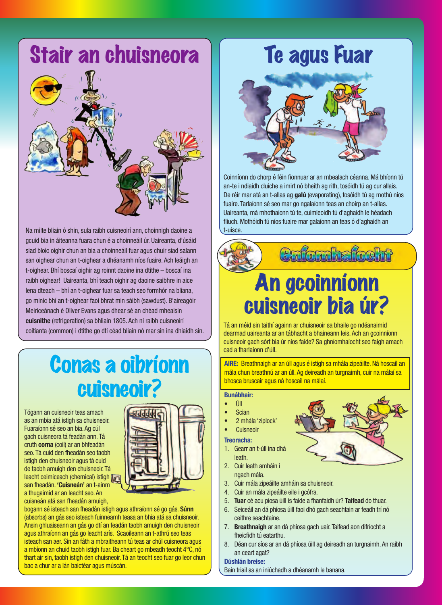## Stair an chuisneora



Na mílte bliain ó shin, sula raibh cuisneoirí ann, choinnigh daoine a gcuid bia in áiteanna fuara chun é a choinneáil úr. Uaireanta, d'úsáid siad bloic oighir chun an bia a choinneáil fuar agus chuir siad salann san oighear chun an t-oighear a dhéanamh níos fuaire. Ach leáigh an t-oighear. Bhí boscaí oighir ag roinnt daoine ina dtithe – boscaí ina raibh oighear! Uaireanta, bhí teach oighir ag daoine saibhre in aice lena dteach – bhí an t-oighear fuar sa teach seo formhór na bliana, go minic bhí an t-oighear faoi bhrat min sáibh (sawdust). B'aireagóir Meiriceánach é Oliver Evans agus dhear sé an chéad mheaisín **cuisnithe** (refrigeration) sa bhliain 1805. Ach ní raibh cuisneoirí coitianta (common) i dtithe go dtí céad bliain nó mar sin ina dhiaidh sin.

### Conas a oibríonn cuisneoir?

Tógann an cuisneoir teas amach as an mbia atá istigh sa chuisneoir. Fuaraíonn sé seo an bia. Ag cúl gach cuisneora tá feadán ann. Tá cruth **corna** (coil) ar an bhfeadán seo. Tá cuid den fheadán seo taobh istigh den chuisneoir agus tá cuid de taobh amuigh den chuisneoir. Tá leacht ceimiceach (chemical) istigh [ san fheadán. **'Cuisneán'** an t-ainm a thugaimid ar an leacht seo. An cuisneán atá san fheadán amuigh,



bogann sé isteach san fheadán istigh agus athraíonn sé go gás. **Súnn**  (absorbs) an gás seo isteach fuinneamh teasa an bhia atá sa chuisneoir. Ansin ghluaiseann an gás go dtí an feadán taobh amuigh den chuisneoir agus athraíonn an gás go leacht arís. Scaoileann an t-athrú seo teas isteach san aer. Sin an fáth a mbraitheann tú teas ar chúl cuisneora agus a mbíonn an chuid taobh istigh fuar. Ba cheart go mbeadh teocht 4°C, nó thart air sin, taobh istigh den chuisneoir. Tá an teocht seo fuar go leor chun bac a chur ar a lán baictéar agus múscán.

## Te agus Fuar



Coinníonn do chorp é féin fionnuar ar an mbealach céanna. Má bhíonn tú an-te i ndiaidh cluiche a imirt nó bheith ag rith, tosóidh tú ag cur allais. De réir mar atá an t-allas ag **galú** (evaporating), tosóidh tú ag mothú níos fuaire. Tarlaíonn sé seo mar go ngalaíonn teas an choirp an t-allas. Uaireanta, má mhothaíonn tú te, cuimleoidh tú d'aghaidh le héadach fliuch. Mothóidh tú níos fuaire mar galaíonn an teas ó d'aghaidh an t-uisce.



Calonhalocht

## An gcoinníonn cuisneoir bia úr?

Tá an méid sin taithí againn ar chuisneoir sa bhaile go ndéanaimid dearmad uaireanta ar an tábhacht a bhaineann leis. Ach an gcoinníonn cuisneoir gach sórt bia úr níos faide? Sa ghníomhaíocht seo faigh amach cad a tharlaíonn d'úll.

**AIRE:** Breathnaigh ar an úll agus é istigh sa mhála zipeáilte. Ná hoscail an mála chun breathnú ar an úll. Ag deireadh an turgnaimh, cuir na málaí sa bhosca bruscair agus ná hoscail na málaí.

### **Bunábhair:**

- Úll
- **Scian**
- 2 mhála 'ziplock'
- **Cuisneoir**

### **Treoracha:**

- 1. Gearr an t-úll ina dhá leath.
- 2. Cuir leath amháin i ngach mála.
- 3. Cuir mála zipeáilte amháin sa chuisneoir.
- 4. Cuir an mála zipeáilte eile i gcófra.
- 5. **Tuar** cé acu píosa úill is faide a fhanfaidh úr? **Taifead** do thuar.
- 6. Seiceáil an dá phíosa úill faoi dhó gach seachtain ar feadh trí nó ceithre seachtaine.
- 7. **Breathnaigh** ar an dá phíosa gach uair. Taifead aon difríocht a fheicfidh tú eatarthu.
- 8. Déan cur síos ar an dá phíosa úill ag deireadh an turgnaimh. An raibh an ceart agat?

### **Dúshlán breise:**

Bain triail as an iniúchadh a dhéanamh le banana.